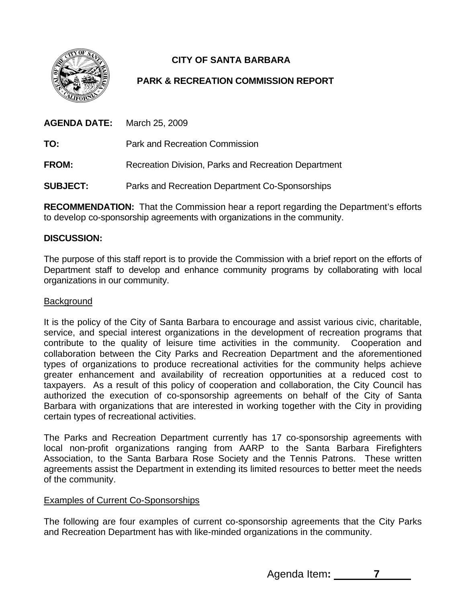

# **CITY OF SANTA BARBARA**

## **PARK & RECREATION COMMISSION REPORT**

| AGENDA DATE:    | March 25, 2009                                       |
|-----------------|------------------------------------------------------|
| TO:             | Park and Recreation Commission                       |
| <b>FROM:</b>    | Recreation Division, Parks and Recreation Department |
| <b>SUBJECT:</b> | Parks and Recreation Department Co-Sponsorships      |

**RECOMMENDATION:** That the Commission hear a report regarding the Department's efforts to develop co-sponsorship agreements with organizations in the community.

#### **DISCUSSION:**

The purpose of this staff report is to provide the Commission with a brief report on the efforts of Department staff to develop and enhance community programs by collaborating with local organizations in our community.

#### **Background**

It is the policy of the City of Santa Barbara to encourage and assist various civic, charitable, service, and special interest organizations in the development of recreation programs that contribute to the quality of leisure time activities in the community. Cooperation and collaboration between the City Parks and Recreation Department and the aforementioned types of organizations to produce recreational activities for the community helps achieve greater enhancement and availability of recreation opportunities at a reduced cost to taxpayers. As a result of this policy of cooperation and collaboration, the City Council has authorized the execution of co-sponsorship agreements on behalf of the City of Santa Barbara with organizations that are interested in working together with the City in providing certain types of recreational activities.

The Parks and Recreation Department currently has 17 co-sponsorship agreements with local non-profit organizations ranging from AARP to the Santa Barbara Firefighters Association, to the Santa Barbara Rose Society and the Tennis Patrons. These written agreements assist the Department in extending its limited resources to better meet the needs of the community.

#### Examples of Current Co-Sponsorships

The following are four examples of current co-sponsorship agreements that the City Parks and Recreation Department has with like-minded organizations in the community.

Agenda Item**: 7**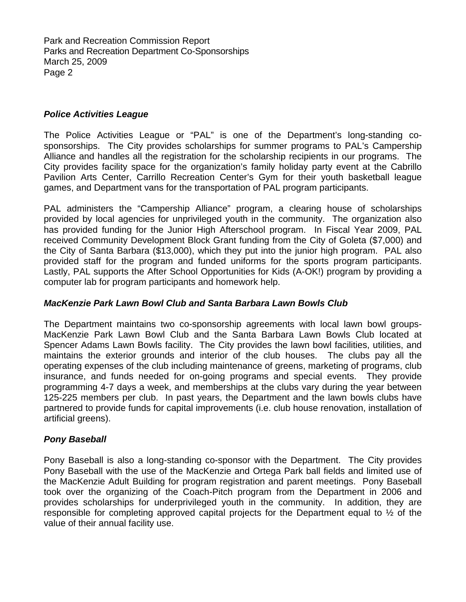Park and Recreation Commission Report Parks and Recreation Department Co-Sponsorships March 25, 2009 Page 2

### *Police Activities League*

The Police Activities League or "PAL" is one of the Department's long-standing cosponsorships. The City provides scholarships for summer programs to PAL's Campership Alliance and handles all the registration for the scholarship recipients in our programs. The City provides facility space for the organization's family holiday party event at the Cabrillo Pavilion Arts Center, Carrillo Recreation Center's Gym for their youth basketball league games, and Department vans for the transportation of PAL program participants.

PAL administers the "Campership Alliance" program, a clearing house of scholarships provided by local agencies for unprivileged youth in the community. The organization also has provided funding for the Junior High Afterschool program. In Fiscal Year 2009, PAL received Community Development Block Grant funding from the City of Goleta (\$7,000) and the City of Santa Barbara (\$13,000), which they put into the junior high program. PAL also provided staff for the program and funded uniforms for the sports program participants. Lastly, PAL supports the After School Opportunities for Kids (A-OK!) program by providing a computer lab for program participants and homework help.

#### *MacKenzie Park Lawn Bowl Club and Santa Barbara Lawn Bowls Club*

The Department maintains two co-sponsorship agreements with local lawn bowl groups-MacKenzie Park Lawn Bowl Club and the Santa Barbara Lawn Bowls Club located at Spencer Adams Lawn Bowls facility. The City provides the lawn bowl facilities, utilities, and maintains the exterior grounds and interior of the club houses. The clubs pay all the operating expenses of the club including maintenance of greens, marketing of programs, club insurance, and funds needed for on-going programs and special events. They provide programming 4-7 days a week, and memberships at the clubs vary during the year between 125-225 members per club. In past years, the Department and the lawn bowls clubs have partnered to provide funds for capital improvements (i.e. club house renovation, installation of artificial greens).

#### *Pony Baseball*

Pony Baseball is also a long-standing co-sponsor with the Department. The City provides Pony Baseball with the use of the MacKenzie and Ortega Park ball fields and limited use of the MacKenzie Adult Building for program registration and parent meetings. Pony Baseball took over the organizing of the Coach-Pitch program from the Department in 2006 and provides scholarships for underprivileged youth in the community. In addition, they are responsible for completing approved capital projects for the Department equal to ½ of the value of their annual facility use.